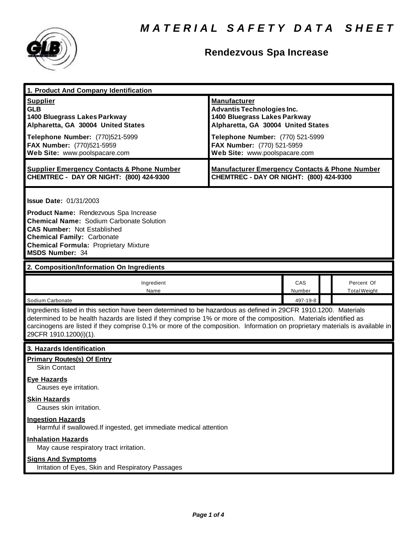

# **Rendezvous Spa Increase**

| 1. Product And Company Identification                                                                                                                                                                                                                                                                                                                                                                                             |                                                                                                                                                                                                                                   |               |                                   |  |
|-----------------------------------------------------------------------------------------------------------------------------------------------------------------------------------------------------------------------------------------------------------------------------------------------------------------------------------------------------------------------------------------------------------------------------------|-----------------------------------------------------------------------------------------------------------------------------------------------------------------------------------------------------------------------------------|---------------|-----------------------------------|--|
| <b>Supplier</b><br><b>GLB</b><br>1400 Bluegrass Lakes Parkway<br>Alpharetta, GA 30004 United States<br>Telephone Number: (770)521-5999<br>FAX Number: (770)521-5959<br>Web Site: www.poolspacare.com                                                                                                                                                                                                                              | <b>Manufacturer</b><br><b>Advantis Technologies Inc.</b><br>1400 Bluegrass Lakes Parkway<br>Alpharetta, GA 30004 United States<br>Telephone Number: (770) 521-5999<br>FAX Number: (770) 521-5959<br>Web Site: www.poolspacare.com |               |                                   |  |
| <b>Supplier Emergency Contacts &amp; Phone Number</b><br>CHEMTREC - DAY OR NIGHT: (800) 424-9300                                                                                                                                                                                                                                                                                                                                  | <b>Manufacturer Emergency Contacts &amp; Phone Number</b><br>CHEMTREC - DAY OR NIGHT: (800) 424-9300                                                                                                                              |               |                                   |  |
| <b>Issue Date: 01/31/2003</b><br>Product Name: Rendezvous Spa Increase<br><b>Chemical Name: Sodium Carbonate Solution</b><br><b>CAS Number: Not Established</b><br><b>Chemical Family: Carbonate</b><br><b>Chemical Formula: Proprietary Mixture</b><br><b>MSDS Number: 34</b>                                                                                                                                                    |                                                                                                                                                                                                                                   |               |                                   |  |
| 2. Composition/Information On Ingredients                                                                                                                                                                                                                                                                                                                                                                                         |                                                                                                                                                                                                                                   |               |                                   |  |
| Ingredient<br>Name                                                                                                                                                                                                                                                                                                                                                                                                                |                                                                                                                                                                                                                                   | CAS<br>Number | Percent Of<br><b>Total Weight</b> |  |
| Sodium Carbonate<br>497-19-8<br>Ingredients listed in this section have been determined to be hazardous as defined in 29CFR 1910.1200. Materials<br>determined to be health hazards are listed if they comprise 1% or more of the composition. Materials identified as<br>carcinogens are listed if they comprise 0.1% or more of the composition. Information on proprietary materials is available in<br>29CFR 1910.1200(i)(1). |                                                                                                                                                                                                                                   |               |                                   |  |
| 3. Hazards Identification                                                                                                                                                                                                                                                                                                                                                                                                         |                                                                                                                                                                                                                                   |               |                                   |  |
| <b>Primary Routes(s) Of Entry</b><br><b>Skin Contact</b><br><b>Eye Hazards</b><br>Causes eye irritation.<br><b>Skin Hazards</b>                                                                                                                                                                                                                                                                                                   |                                                                                                                                                                                                                                   |               |                                   |  |
| Causes skin irritation.<br><b>Ingestion Hazards</b>                                                                                                                                                                                                                                                                                                                                                                               |                                                                                                                                                                                                                                   |               |                                   |  |
| Harmful if swallowed. If ingested, get immediate medical attention<br><b>Inhalation Hazards</b><br>May cause respiratory tract irritation.<br><b>Signs And Symptoms</b>                                                                                                                                                                                                                                                           |                                                                                                                                                                                                                                   |               |                                   |  |
| Irritation of Eyes, Skin and Respiratory Passages                                                                                                                                                                                                                                                                                                                                                                                 |                                                                                                                                                                                                                                   |               |                                   |  |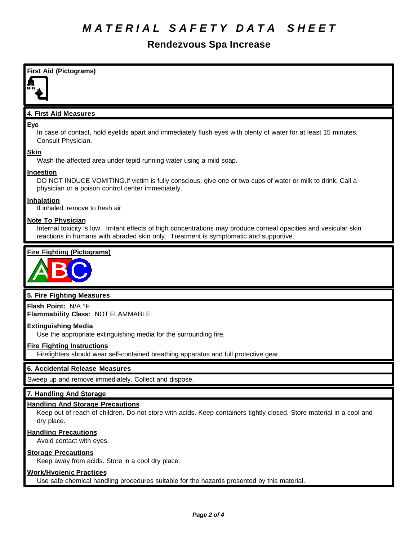### **Rendezvous Spa Increase**



Avoid contact with eyes.

#### **Storage Precautions**

Keep away from acids. Store in a cool dry place.

#### **Work/Hygienic Practices**

Use safe chemical handling procedures suitable for the hazards presented by this material.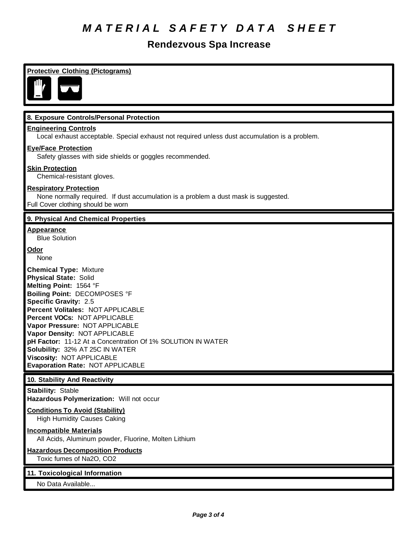# *M A T E R I A L S A F E T Y D A T A S H E E T*

# **Rendezvous Spa Increase**

| <b>Protective Clothing (Pictograms)</b>                                                                                                                                                                                                                                                                                                                                                                                                                                   |
|---------------------------------------------------------------------------------------------------------------------------------------------------------------------------------------------------------------------------------------------------------------------------------------------------------------------------------------------------------------------------------------------------------------------------------------------------------------------------|
| 8. Exposure Controls/Personal Protection                                                                                                                                                                                                                                                                                                                                                                                                                                  |
| <b>Engineering Controls</b><br>Local exhaust acceptable. Special exhaust not required unless dust accumulation is a problem.                                                                                                                                                                                                                                                                                                                                              |
| <b>Eye/Face Protection</b><br>Safety glasses with side shields or goggles recommended.                                                                                                                                                                                                                                                                                                                                                                                    |
| <b>Skin Protection</b><br>Chemical-resistant gloves.                                                                                                                                                                                                                                                                                                                                                                                                                      |
| <b>Respiratory Protection</b><br>None normally required. If dust accumulation is a problem a dust mask is suggested.<br>Full Cover clothing should be worn                                                                                                                                                                                                                                                                                                                |
| 9. Physical And Chemical Properties                                                                                                                                                                                                                                                                                                                                                                                                                                       |
| <b>Appearance</b><br><b>Blue Solution</b>                                                                                                                                                                                                                                                                                                                                                                                                                                 |
| <b>Odor</b><br>None                                                                                                                                                                                                                                                                                                                                                                                                                                                       |
| <b>Chemical Type: Mixture</b><br><b>Physical State: Solid</b><br>Melting Point: 1564 °F<br>Boiling Point: DECOMPOSES °F<br><b>Specific Gravity: 2.5</b><br>Percent Volitales: NOT APPLICABLE<br>Percent VOCs: NOT APPLICABLE<br>Vapor Pressure: NOT APPLICABLE<br>Vapor Density: NOT APPLICABLE<br>pH Factor: 11-12 At a Concentration Of 1% SOLUTION IN WATER<br>Solubility: 32% AT 25C IN WATER<br>Viscosity: NOT APPLICABLE<br><b>Evaporation Rate: NOT APPLICABLE</b> |
| 10. Stability And Reactivity<br><b>Stability: Stable</b>                                                                                                                                                                                                                                                                                                                                                                                                                  |
| Hazardous Polymerization: Will not occur                                                                                                                                                                                                                                                                                                                                                                                                                                  |
| <b>Conditions To Avoid (Stability)</b><br><b>High Humidity Causes Caking</b>                                                                                                                                                                                                                                                                                                                                                                                              |
| <b>Incompatible Materials</b><br>All Acids, Aluminum powder, Fluorine, Molten Lithium                                                                                                                                                                                                                                                                                                                                                                                     |
| <b>Hazardous Decomposition Products</b><br>Toxic fumes of Na2O, CO2                                                                                                                                                                                                                                                                                                                                                                                                       |
| 11. Toxicological Information<br>No Data Available                                                                                                                                                                                                                                                                                                                                                                                                                        |